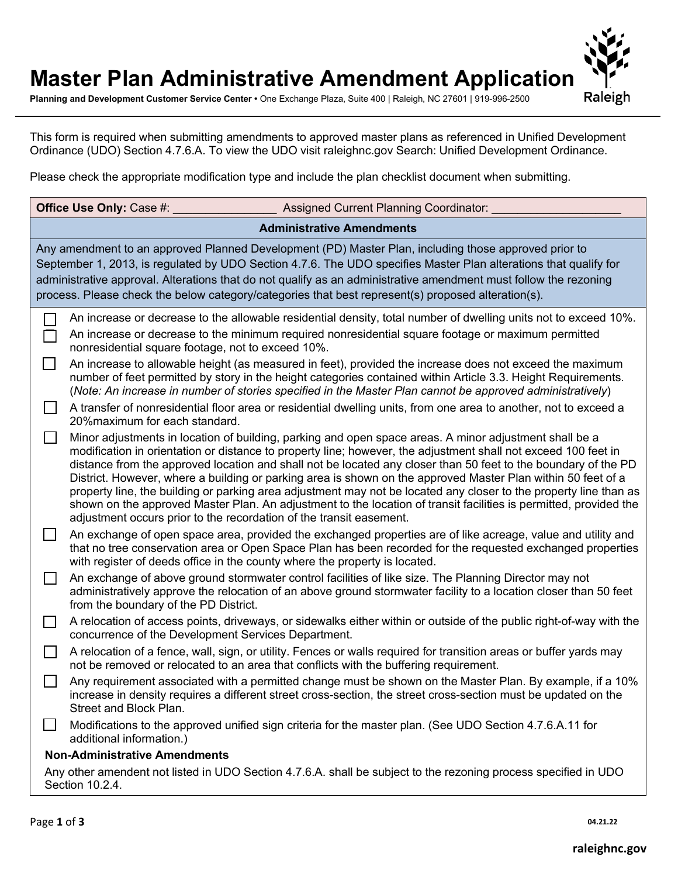## **Master Plan Administrative Amendment Application**

**Planning and Development Customer Service Center •** One Exchange Plaza, Suite 400 | Raleigh, NC 27601 | 919-996-2500

This form is required when submitting amendments to approved master plans as referenced in Unified Development Ordinance (UDO) Section 4.7.6.A. To view the UDO visit raleighnc.gov Search: Unified Development Ordinance.

Please check the appropriate modification type and include the plan checklist document when submitting.

|                                                                                                                                                                                                                                                                                                                                                                                                                                                    | Office Use Only: Case #:<br>Assigned Current Planning Coordinator:                                                                                                                                                                                                                                                                                                                                                                                                                                                                                                                                                                                                                                                                                                          |  |  |  |  |  |
|----------------------------------------------------------------------------------------------------------------------------------------------------------------------------------------------------------------------------------------------------------------------------------------------------------------------------------------------------------------------------------------------------------------------------------------------------|-----------------------------------------------------------------------------------------------------------------------------------------------------------------------------------------------------------------------------------------------------------------------------------------------------------------------------------------------------------------------------------------------------------------------------------------------------------------------------------------------------------------------------------------------------------------------------------------------------------------------------------------------------------------------------------------------------------------------------------------------------------------------------|--|--|--|--|--|
| <b>Administrative Amendments</b>                                                                                                                                                                                                                                                                                                                                                                                                                   |                                                                                                                                                                                                                                                                                                                                                                                                                                                                                                                                                                                                                                                                                                                                                                             |  |  |  |  |  |
| Any amendment to an approved Planned Development (PD) Master Plan, including those approved prior to<br>September 1, 2013, is regulated by UDO Section 4.7.6. The UDO specifies Master Plan alterations that qualify for<br>administrative approval. Alterations that do not qualify as an administrative amendment must follow the rezoning<br>process. Please check the below category/categories that best represent(s) proposed alteration(s). |                                                                                                                                                                                                                                                                                                                                                                                                                                                                                                                                                                                                                                                                                                                                                                             |  |  |  |  |  |
|                                                                                                                                                                                                                                                                                                                                                                                                                                                    | An increase or decrease to the allowable residential density, total number of dwelling units not to exceed 10%.<br>An increase or decrease to the minimum required nonresidential square footage or maximum permitted<br>nonresidential square footage, not to exceed 10%.                                                                                                                                                                                                                                                                                                                                                                                                                                                                                                  |  |  |  |  |  |
| $\Box$                                                                                                                                                                                                                                                                                                                                                                                                                                             | An increase to allowable height (as measured in feet), provided the increase does not exceed the maximum<br>number of feet permitted by story in the height categories contained within Article 3.3. Height Requirements.<br>(Note: An increase in number of stories specified in the Master Plan cannot be approved administratively)                                                                                                                                                                                                                                                                                                                                                                                                                                      |  |  |  |  |  |
|                                                                                                                                                                                                                                                                                                                                                                                                                                                    | A transfer of nonresidential floor area or residential dwelling units, from one area to another, not to exceed a<br>20% maximum for each standard.                                                                                                                                                                                                                                                                                                                                                                                                                                                                                                                                                                                                                          |  |  |  |  |  |
|                                                                                                                                                                                                                                                                                                                                                                                                                                                    | Minor adjustments in location of building, parking and open space areas. A minor adjustment shall be a<br>modification in orientation or distance to property line; however, the adjustment shall not exceed 100 feet in<br>distance from the approved location and shall not be located any closer than 50 feet to the boundary of the PD<br>District. However, where a building or parking area is shown on the approved Master Plan within 50 feet of a<br>property line, the building or parking area adjustment may not be located any closer to the property line than as<br>shown on the approved Master Plan. An adjustment to the location of transit facilities is permitted, provided the<br>adjustment occurs prior to the recordation of the transit easement. |  |  |  |  |  |
|                                                                                                                                                                                                                                                                                                                                                                                                                                                    | An exchange of open space area, provided the exchanged properties are of like acreage, value and utility and<br>that no tree conservation area or Open Space Plan has been recorded for the requested exchanged properties<br>with register of deeds office in the county where the property is located.                                                                                                                                                                                                                                                                                                                                                                                                                                                                    |  |  |  |  |  |
|                                                                                                                                                                                                                                                                                                                                                                                                                                                    | An exchange of above ground stormwater control facilities of like size. The Planning Director may not<br>administratively approve the relocation of an above ground stormwater facility to a location closer than 50 feet<br>from the boundary of the PD District.                                                                                                                                                                                                                                                                                                                                                                                                                                                                                                          |  |  |  |  |  |
| $\mathsf{I}$                                                                                                                                                                                                                                                                                                                                                                                                                                       | A relocation of access points, driveways, or sidewalks either within or outside of the public right-of-way with the<br>concurrence of the Development Services Department.                                                                                                                                                                                                                                                                                                                                                                                                                                                                                                                                                                                                  |  |  |  |  |  |
|                                                                                                                                                                                                                                                                                                                                                                                                                                                    | A relocation of a fence, wall, sign, or utility. Fences or walls required for transition areas or buffer yards may<br>not be removed or relocated to an area that conflicts with the buffering requirement.                                                                                                                                                                                                                                                                                                                                                                                                                                                                                                                                                                 |  |  |  |  |  |
|                                                                                                                                                                                                                                                                                                                                                                                                                                                    | Any requirement associated with a permitted change must be shown on the Master Plan. By example, if a 10%<br>increase in density requires a different street cross-section, the street cross-section must be updated on the<br>Street and Block Plan.                                                                                                                                                                                                                                                                                                                                                                                                                                                                                                                       |  |  |  |  |  |
|                                                                                                                                                                                                                                                                                                                                                                                                                                                    | Modifications to the approved unified sign criteria for the master plan. (See UDO Section 4.7.6.A.11 for<br>additional information.)                                                                                                                                                                                                                                                                                                                                                                                                                                                                                                                                                                                                                                        |  |  |  |  |  |
| <b>Non-Administrative Amendments</b>                                                                                                                                                                                                                                                                                                                                                                                                               |                                                                                                                                                                                                                                                                                                                                                                                                                                                                                                                                                                                                                                                                                                                                                                             |  |  |  |  |  |
| Any other amendent not listed in UDO Section 4.7.6.A. shall be subject to the rezoning process specified in UDO<br>Section 10.2.4.                                                                                                                                                                                                                                                                                                                 |                                                                                                                                                                                                                                                                                                                                                                                                                                                                                                                                                                                                                                                                                                                                                                             |  |  |  |  |  |

Raleigh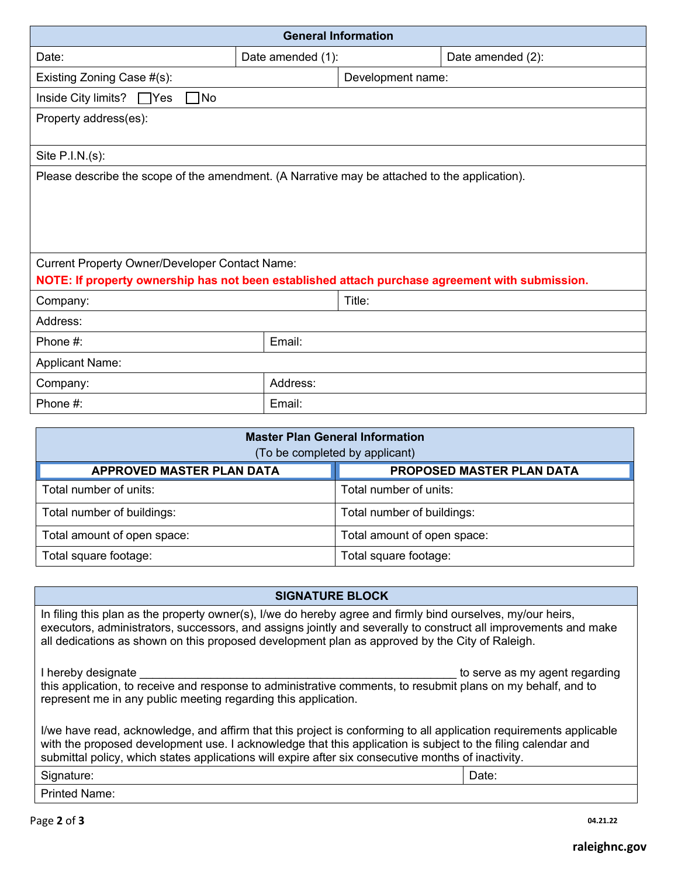| <b>General Information</b>                                                                                                                                                                                                                                                                                                       |                                        |                             |                           |  |  |  |  |  |  |
|----------------------------------------------------------------------------------------------------------------------------------------------------------------------------------------------------------------------------------------------------------------------------------------------------------------------------------|----------------------------------------|-----------------------------|---------------------------|--|--|--|--|--|--|
| Date:                                                                                                                                                                                                                                                                                                                            | Date amended (1):<br>Date amended (2): |                             |                           |  |  |  |  |  |  |
| Existing Zoning Case #(s):                                                                                                                                                                                                                                                                                                       |                                        | Development name:           |                           |  |  |  |  |  |  |
| Inside City limits?<br>$\sqcap$ Yes<br>1No                                                                                                                                                                                                                                                                                       |                                        |                             |                           |  |  |  |  |  |  |
| Property address(es):                                                                                                                                                                                                                                                                                                            |                                        |                             |                           |  |  |  |  |  |  |
| Site $P.I.N.(s)$ :                                                                                                                                                                                                                                                                                                               |                                        |                             |                           |  |  |  |  |  |  |
| Please describe the scope of the amendment. (A Narrative may be attached to the application).                                                                                                                                                                                                                                    |                                        |                             |                           |  |  |  |  |  |  |
| <b>Current Property Owner/Developer Contact Name:</b><br>NOTE: If property ownership has not been established attach purchase agreement with submission.                                                                                                                                                                         |                                        |                             |                           |  |  |  |  |  |  |
| Company:                                                                                                                                                                                                                                                                                                                         |                                        | Title:                      |                           |  |  |  |  |  |  |
| Address:                                                                                                                                                                                                                                                                                                                         |                                        |                             |                           |  |  |  |  |  |  |
| Phone #:                                                                                                                                                                                                                                                                                                                         | Email:                                 |                             |                           |  |  |  |  |  |  |
| <b>Applicant Name:</b>                                                                                                                                                                                                                                                                                                           |                                        |                             |                           |  |  |  |  |  |  |
| Company:                                                                                                                                                                                                                                                                                                                         | Address:                               |                             |                           |  |  |  |  |  |  |
| Phone #:                                                                                                                                                                                                                                                                                                                         | Email:                                 |                             |                           |  |  |  |  |  |  |
| <b>Master Plan General Information</b><br>(To be completed by applicant)                                                                                                                                                                                                                                                         |                                        |                             |                           |  |  |  |  |  |  |
| <b>APPROVED MASTER PLAN DATA</b>                                                                                                                                                                                                                                                                                                 |                                        |                             | PROPOSED MASTER PLAN DATA |  |  |  |  |  |  |
| Total number of units:                                                                                                                                                                                                                                                                                                           |                                        | Total number of units:      |                           |  |  |  |  |  |  |
| Total number of buildings:                                                                                                                                                                                                                                                                                                       |                                        | Total number of buildings:  |                           |  |  |  |  |  |  |
| Total amount of open space:                                                                                                                                                                                                                                                                                                      |                                        | Total amount of open space: |                           |  |  |  |  |  |  |
| Total square footage:                                                                                                                                                                                                                                                                                                            |                                        | Total square footage:       |                           |  |  |  |  |  |  |
|                                                                                                                                                                                                                                                                                                                                  |                                        |                             |                           |  |  |  |  |  |  |
|                                                                                                                                                                                                                                                                                                                                  | <b>SIGNATURE BLOCK</b>                 |                             |                           |  |  |  |  |  |  |
| In filing this plan as the property owner(s), I/we do hereby agree and firmly bind ourselves, my/our heirs,<br>executors, administrators, successors, and assigns jointly and severally to construct all improvements and make<br>all dedications as shown on this proposed development plan as approved by the City of Raleigh. |                                        |                             |                           |  |  |  |  |  |  |
| I hereby designate<br>to serve as my agent regarding<br>this application, to receive and response to administrative comments, to resubmit plans on my behalf, and to<br>represent me in any public meeting regarding this application.                                                                                           |                                        |                             |                           |  |  |  |  |  |  |

I/we have read, acknowledge, and affirm that this project is conforming to all application requirements applicable with the proposed development use. I acknowledge that this application is subject to the filing calendar and submittal policy, which states applications will expire after six consecutive months of inactivity.

| $\sim$<br>.<br>.<br>`'<br>- | -<br>Date:<br>---- |
|-----------------------------|--------------------|
| . Duiu<br>ame<br>יי         |                    |